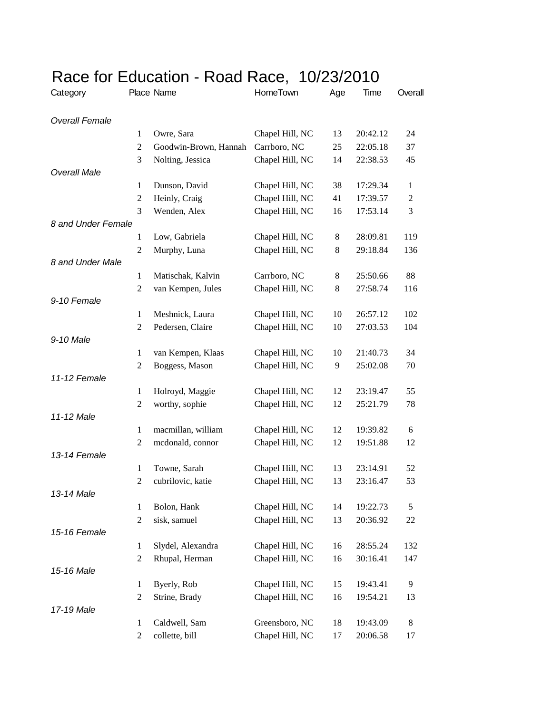| Category              |                  | Place Name            | HomeTown        | Age   | Time     | Overall        |
|-----------------------|------------------|-----------------------|-----------------|-------|----------|----------------|
| <b>Overall Female</b> |                  |                       |                 |       |          |                |
|                       | $\mathbf{1}$     | Owre, Sara            | Chapel Hill, NC | 13    | 20:42.12 | 24             |
|                       | $\overline{2}$   | Goodwin-Brown, Hannah | Carrboro, NC    | 25    | 22:05.18 | 37             |
|                       | 3                | Nolting, Jessica      | Chapel Hill, NC | 14    | 22:38.53 | 45             |
| <b>Overall Male</b>   |                  |                       |                 |       |          |                |
|                       | 1                | Dunson, David         | Chapel Hill, NC | 38    | 17:29.34 | 1              |
|                       | $\overline{2}$   | Heinly, Craig         | Chapel Hill, NC | 41    | 17:39.57 | $\overline{c}$ |
|                       | 3                | Wenden, Alex          | Chapel Hill, NC | 16    | 17:53.14 | 3              |
| 8 and Under Female    |                  |                       |                 |       |          |                |
|                       | $\mathbf{1}$     | Low, Gabriela         | Chapel Hill, NC | $8\,$ | 28:09.81 | 119            |
|                       | $\overline{2}$   | Murphy, Luna          | Chapel Hill, NC | 8     | 29:18.84 | 136            |
| 8 and Under Male      |                  |                       |                 |       |          |                |
|                       | 1                | Matischak, Kalvin     | Carrboro, NC    | 8     | 25:50.66 | 88             |
|                       | $\overline{2}$   | van Kempen, Jules     | Chapel Hill, NC | 8     | 27:58.74 | 116            |
| 9-10 Female           |                  |                       |                 |       |          |                |
|                       | 1                | Meshnick, Laura       | Chapel Hill, NC | 10    | 26:57.12 | 102            |
|                       | $\overline{2}$   | Pedersen, Claire      | Chapel Hill, NC | 10    | 27:03.53 | 104            |
| 9-10 Male             |                  |                       |                 |       |          |                |
|                       | $\mathbf{1}$     | van Kempen, Klaas     | Chapel Hill, NC | 10    | 21:40.73 | 34             |
|                       | $\overline{2}$   | Boggess, Mason        | Chapel Hill, NC | 9     | 25:02.08 | 70             |
| 11-12 Female          |                  |                       |                 |       |          |                |
|                       | $\mathbf{1}$     | Holroyd, Maggie       | Chapel Hill, NC | 12    | 23:19.47 | 55             |
|                       | $\overline{2}$   | worthy, sophie        | Chapel Hill, NC | 12    | 25:21.79 | 78             |
| 11-12 Male            |                  |                       |                 |       |          |                |
|                       | $\mathbf{1}$     | macmillan, william    | Chapel Hill, NC | 12    | 19:39.82 | 6              |
|                       | $\overline{2}$   | mcdonald, connor      | Chapel Hill, NC | 12    | 19:51.88 | 12             |
| 13-14 Female          |                  |                       |                 |       |          |                |
|                       | $\mathbf{1}$     | Towne, Sarah          | Chapel Hill, NC | 13    | 23:14.91 | 52             |
|                       | $\overline{2}$   | cubrilovic, katie     | Chapel Hill, NC | 13    | 23:16.47 | 53             |
| 13-14 Male            |                  |                       |                 |       |          |                |
|                       | $\mathbf{1}$     | Bolon, Hank           | Chapel Hill, NC | 14    | 19:22.73 | 5              |
|                       | $\boldsymbol{2}$ | sisk, samuel          | Chapel Hill, NC | 13    | 20:36.92 | 22             |
| 15-16 Female          |                  |                       |                 |       |          |                |
|                       | $\mathbf{1}$     | Slydel, Alexandra     | Chapel Hill, NC | 16    | 28:55.24 | 132            |
|                       | $\overline{c}$   | Rhupal, Herman        | Chapel Hill, NC | 16    | 30:16.41 | 147            |
| 15-16 Male            |                  |                       |                 |       |          |                |
|                       | 1                | Byerly, Rob           | Chapel Hill, NC | 15    | 19:43.41 | 9              |
|                       | $\overline{2}$   | Strine, Brady         | Chapel Hill, NC | 16    | 19:54.21 | 13             |
| 17-19 Male            |                  |                       |                 |       |          |                |
|                       | $\mathbf{1}$     | Caldwell, Sam         | Greensboro, NC  | 18    | 19:43.09 | 8              |
|                       | $\overline{2}$   | collette, bill        | Chapel Hill, NC | 17    | 20:06.58 | 17             |

## Race for Education - Road Race, 10/23/2010